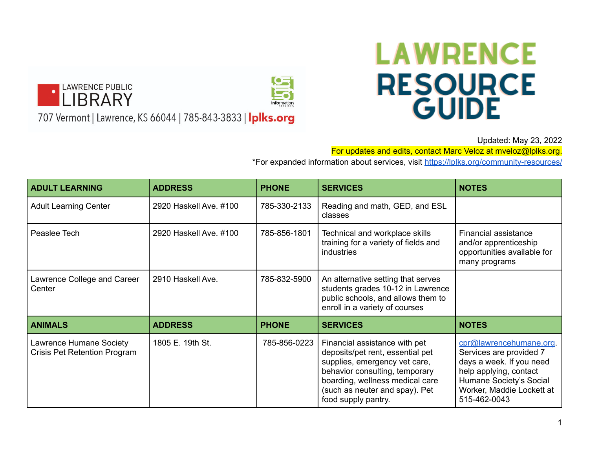



707 Vermont | Lawrence, KS 66044 | 785-843-3833 | Iplks.org

## **LAWRENCE RESOURCE GUIDE**

Updated: May 23, 2022

For updates and edits, contact Marc Veloz at mveloz@lplks.org.

\*For expanded information about services, visit <https://lplks.org/community-resources/>

| <b>ADULT LEARNING</b>                                   | <b>ADDRESS</b>         | <b>PHONE</b> | <b>SERVICES</b>                                                                                                                                                                                                                  | <b>NOTES</b>                                                                                                                                                                     |
|---------------------------------------------------------|------------------------|--------------|----------------------------------------------------------------------------------------------------------------------------------------------------------------------------------------------------------------------------------|----------------------------------------------------------------------------------------------------------------------------------------------------------------------------------|
| <b>Adult Learning Center</b>                            | 2920 Haskell Ave. #100 | 785-330-2133 | Reading and math, GED, and ESL<br>classes                                                                                                                                                                                        |                                                                                                                                                                                  |
| Peaslee Tech                                            | 2920 Haskell Ave. #100 | 785-856-1801 | Technical and workplace skills<br>training for a variety of fields and<br>industries                                                                                                                                             | Financial assistance<br>and/or apprenticeship<br>opportunities available for<br>many programs                                                                                    |
| Lawrence College and Career<br>Center                   | 2910 Haskell Ave.      | 785-832-5900 | An alternative setting that serves<br>students grades 10-12 in Lawrence<br>public schools, and allows them to<br>enroll in a variety of courses                                                                                  |                                                                                                                                                                                  |
| <b>ANIMALS</b>                                          | <b>ADDRESS</b>         | <b>PHONE</b> | <b>SERVICES</b>                                                                                                                                                                                                                  | <b>NOTES</b>                                                                                                                                                                     |
| Lawrence Humane Society<br>Crisis Pet Retention Program | 1805 E. 19th St.       | 785-856-0223 | Financial assistance with pet<br>deposits/pet rent, essential pet<br>supplies, emergency vet care,<br>behavior consulting, temporary<br>boarding, wellness medical care<br>(such as neuter and spay). Pet<br>food supply pantry. | cpr@lawrencehumane.org.<br>Services are provided 7<br>days a week. If you need<br>help applying, contact<br>Humane Society's Social<br>Worker, Maddie Lockett at<br>515-462-0043 |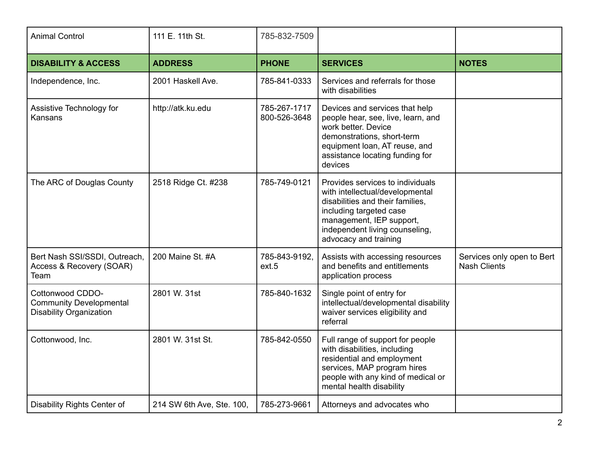| <b>Animal Control</b>                                                                | 111 E. 11th St.           | 785-832-7509                 |                                                                                                                                                                                                                           |                                                   |
|--------------------------------------------------------------------------------------|---------------------------|------------------------------|---------------------------------------------------------------------------------------------------------------------------------------------------------------------------------------------------------------------------|---------------------------------------------------|
| <b>DISABILITY &amp; ACCESS</b>                                                       | <b>ADDRESS</b>            | <b>PHONE</b>                 | <b>SERVICES</b>                                                                                                                                                                                                           | <b>NOTES</b>                                      |
| Independence, Inc.                                                                   | 2001 Haskell Ave.         | 785-841-0333                 | Services and referrals for those<br>with disabilities                                                                                                                                                                     |                                                   |
| Assistive Technology for<br>Kansans                                                  | http://atk.ku.edu         | 785-267-1717<br>800-526-3648 | Devices and services that help<br>people hear, see, live, learn, and<br>work better. Device<br>demonstrations, short-term<br>equipment loan, AT reuse, and<br>assistance locating funding for<br>devices                  |                                                   |
| The ARC of Douglas County                                                            | 2518 Ridge Ct. #238       | 785-749-0121                 | Provides services to individuals<br>with intellectual/developmental<br>disabilities and their families,<br>including targeted case<br>management, IEP support,<br>independent living counseling,<br>advocacy and training |                                                   |
| Bert Nash SSI/SSDI, Outreach,<br>Access & Recovery (SOAR)<br>Team                    | 200 Maine St. #A          | 785-843-9192.<br>ext.5       | Assists with accessing resources<br>and benefits and entitlements<br>application process                                                                                                                                  | Services only open to Bert<br><b>Nash Clients</b> |
| Cottonwood CDDO-<br><b>Community Developmental</b><br><b>Disability Organization</b> | 2801 W. 31st              | 785-840-1632                 | Single point of entry for<br>intellectual/developmental disability<br>waiver services eligibility and<br>referral                                                                                                         |                                                   |
| Cottonwood, Inc.                                                                     | 2801 W. 31st St.          | 785-842-0550                 | Full range of support for people<br>with disabilities, including<br>residential and employment<br>services, MAP program hires<br>people with any kind of medical or<br>mental health disability                           |                                                   |
| Disability Rights Center of                                                          | 214 SW 6th Ave, Ste. 100, | 785-273-9661                 | Attorneys and advocates who                                                                                                                                                                                               |                                                   |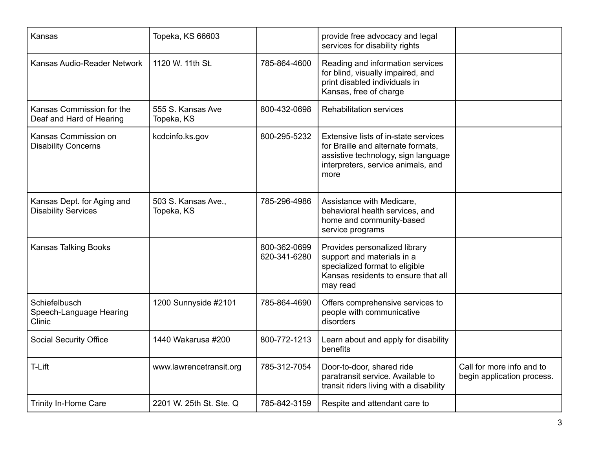| Kansas                                                   | Topeka, KS 66603                  |                              | provide free advocacy and legal<br>services for disability rights                                                                                               |                                                         |
|----------------------------------------------------------|-----------------------------------|------------------------------|-----------------------------------------------------------------------------------------------------------------------------------------------------------------|---------------------------------------------------------|
| Kansas Audio-Reader Network                              | 1120 W. 11th St.                  | 785-864-4600                 | Reading and information services<br>for blind, visually impaired, and<br>print disabled individuals in<br>Kansas, free of charge                                |                                                         |
| Kansas Commission for the<br>Deaf and Hard of Hearing    | 555 S. Kansas Ave<br>Topeka, KS   | 800-432-0698                 | <b>Rehabilitation services</b>                                                                                                                                  |                                                         |
| Kansas Commission on<br><b>Disability Concerns</b>       | kcdcinfo.ks.gov                   | 800-295-5232                 | Extensive lists of in-state services<br>for Braille and alternate formats,<br>assistive technology, sign language<br>interpreters, service animals, and<br>more |                                                         |
| Kansas Dept. for Aging and<br><b>Disability Services</b> | 503 S. Kansas Ave.,<br>Topeka, KS | 785-296-4986                 | Assistance with Medicare,<br>behavioral health services, and<br>home and community-based<br>service programs                                                    |                                                         |
| <b>Kansas Talking Books</b>                              |                                   | 800-362-0699<br>620-341-6280 | Provides personalized library<br>support and materials in a<br>specialized format to eligible<br>Kansas residents to ensure that all<br>may read                |                                                         |
| Schiefelbusch<br>Speech-Language Hearing<br>Clinic       | 1200 Sunnyside #2101              | 785-864-4690                 | Offers comprehensive services to<br>people with communicative<br>disorders                                                                                      |                                                         |
| <b>Social Security Office</b>                            | 1440 Wakarusa #200                | 800-772-1213                 | Learn about and apply for disability<br>benefits                                                                                                                |                                                         |
| T-Lift                                                   | www.lawrencetransit.org           | 785-312-7054                 | Door-to-door, shared ride<br>paratransit service. Available to<br>transit riders living with a disability                                                       | Call for more info and to<br>begin application process. |
| Trinity In-Home Care                                     | 2201 W. 25th St. Ste. Q           | 785-842-3159                 | Respite and attendant care to                                                                                                                                   |                                                         |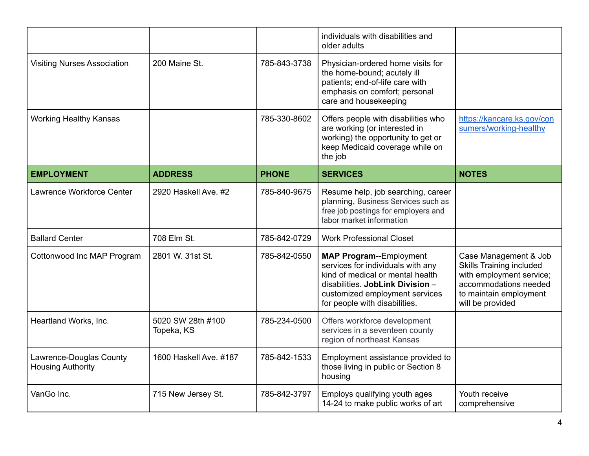|                                                     |                                 |              | individuals with disabilities and<br>older adults                                                                                                                                                              |                                                                                                                                                             |
|-----------------------------------------------------|---------------------------------|--------------|----------------------------------------------------------------------------------------------------------------------------------------------------------------------------------------------------------------|-------------------------------------------------------------------------------------------------------------------------------------------------------------|
| <b>Visiting Nurses Association</b>                  | 200 Maine St.                   | 785-843-3738 | Physician-ordered home visits for<br>the home-bound; acutely ill<br>patients; end-of-life care with<br>emphasis on comfort; personal<br>care and housekeeping                                                  |                                                                                                                                                             |
| <b>Working Healthy Kansas</b>                       |                                 | 785-330-8602 | Offers people with disabilities who<br>are working (or interested in<br>working) the opportunity to get or<br>keep Medicaid coverage while on<br>the job                                                       | https://kancare.ks.gov/con<br>sumers/working-healthy                                                                                                        |
| <b>EMPLOYMENT</b>                                   | <b>ADDRESS</b>                  | <b>PHONE</b> | <b>SERVICES</b>                                                                                                                                                                                                | <b>NOTES</b>                                                                                                                                                |
| Lawrence Workforce Center                           | 2920 Haskell Ave. #2            | 785-840-9675 | Resume help, job searching, career<br>planning, Business Services such as<br>free job postings for employers and<br>labor market information                                                                   |                                                                                                                                                             |
| <b>Ballard Center</b>                               | 708 Elm St.                     | 785-842-0729 | <b>Work Professional Closet</b>                                                                                                                                                                                |                                                                                                                                                             |
| Cottonwood Inc MAP Program                          | 2801 W. 31st St.                | 785-842-0550 | <b>MAP Program--Employment</b><br>services for individuals with any<br>kind of medical or mental health<br>disabilities. JobLink Division -<br>customized employment services<br>for people with disabilities. | Case Management & Job<br><b>Skills Training included</b><br>with employment service;<br>accommodations needed<br>to maintain employment<br>will be provided |
| Heartland Works, Inc.                               | 5020 SW 28th #100<br>Topeka, KS | 785-234-0500 | Offers workforce development<br>services in a seventeen county<br>region of northeast Kansas                                                                                                                   |                                                                                                                                                             |
| Lawrence-Douglas County<br><b>Housing Authority</b> | 1600 Haskell Ave. #187          | 785-842-1533 | Employment assistance provided to<br>those living in public or Section 8<br>housing                                                                                                                            |                                                                                                                                                             |
| VanGo Inc.                                          | 715 New Jersey St.              | 785-842-3797 | Employs qualifying youth ages<br>14-24 to make public works of art                                                                                                                                             | Youth receive<br>comprehensive                                                                                                                              |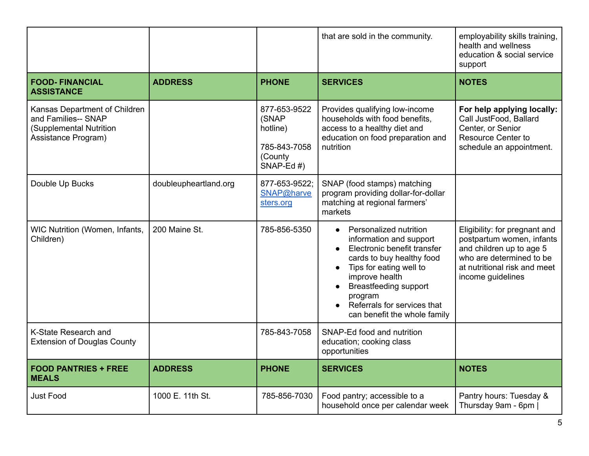|                                                                                                        |                       |                                                                               | that are sold in the community.                                                                                                                                                                                                                                                                | employability skills training,<br>health and wellness<br>education & social service<br>support                                                                          |
|--------------------------------------------------------------------------------------------------------|-----------------------|-------------------------------------------------------------------------------|------------------------------------------------------------------------------------------------------------------------------------------------------------------------------------------------------------------------------------------------------------------------------------------------|-------------------------------------------------------------------------------------------------------------------------------------------------------------------------|
| <b>FOOD-FINANCIAL</b><br><b>ASSISTANCE</b>                                                             | <b>ADDRESS</b>        | <b>PHONE</b>                                                                  | <b>SERVICES</b>                                                                                                                                                                                                                                                                                | <b>NOTES</b>                                                                                                                                                            |
| Kansas Department of Children<br>and Families-- SNAP<br>(Supplemental Nutrition<br>Assistance Program) |                       | 877-653-9522<br>(SNAP<br>hotline)<br>785-843-7058<br>(County<br>SNAP-Ed $#$ ) | Provides qualifying low-income<br>households with food benefits,<br>access to a healthy diet and<br>education on food preparation and<br>nutrition                                                                                                                                             | For help applying locally:<br>Call JustFood, Ballard<br>Center, or Senior<br><b>Resource Center to</b><br>schedule an appointment.                                      |
| Double Up Bucks                                                                                        | doubleupheartland.org | 877-653-9522:<br>SNAP@harve<br>sters.org                                      | SNAP (food stamps) matching<br>program providing dollar-for-dollar<br>matching at regional farmers'<br>markets                                                                                                                                                                                 |                                                                                                                                                                         |
| WIC Nutrition (Women, Infants,<br>Children)                                                            | 200 Maine St.         | 785-856-5350                                                                  | Personalized nutrition<br>$\bullet$<br>information and support<br>Electronic benefit transfer<br>cards to buy healthy food<br>Tips for eating well to<br>improve health<br><b>Breastfeeding support</b><br>program<br>Referrals for services that<br>$\bullet$<br>can benefit the whole family | Eligibility: for pregnant and<br>postpartum women, infants<br>and children up to age 5<br>who are determined to be<br>at nutritional risk and meet<br>income guidelines |
| K-State Research and<br><b>Extension of Douglas County</b>                                             |                       | 785-843-7058                                                                  | SNAP-Ed food and nutrition<br>education; cooking class<br>opportunities                                                                                                                                                                                                                        |                                                                                                                                                                         |
| <b>FOOD PANTRIES + FREE</b><br><b>MEALS</b>                                                            | <b>ADDRESS</b>        | <b>PHONE</b>                                                                  | <b>SERVICES</b>                                                                                                                                                                                                                                                                                | <b>NOTES</b>                                                                                                                                                            |
| <b>Just Food</b>                                                                                       | 1000 E. 11th St.      | 785-856-7030                                                                  | Food pantry; accessible to a<br>household once per calendar week                                                                                                                                                                                                                               | Pantry hours: Tuesday &<br>Thursday 9am - 6pm                                                                                                                           |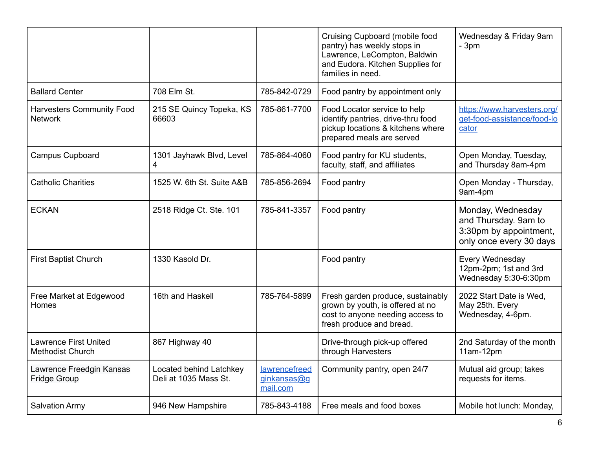|                                                         |                                                  |                                          | Cruising Cupboard (mobile food<br>pantry) has weekly stops in<br>Lawrence, LeCompton, Baldwin<br>and Eudora. Kitchen Supplies for<br>families in need. | Wednesday & Friday 9am<br>$-3pm$                                                               |
|---------------------------------------------------------|--------------------------------------------------|------------------------------------------|--------------------------------------------------------------------------------------------------------------------------------------------------------|------------------------------------------------------------------------------------------------|
| <b>Ballard Center</b>                                   | 708 Elm St.                                      | 785-842-0729                             | Food pantry by appointment only                                                                                                                        |                                                                                                |
| <b>Harvesters Community Food</b><br><b>Network</b>      | 215 SE Quincy Topeka, KS<br>66603                | 785-861-7700                             | Food Locator service to help<br>identify pantries, drive-thru food<br>pickup locations & kitchens where<br>prepared meals are served                   | https://www.harvesters.org/<br>get-food-assistance/food-lo<br>cator                            |
| <b>Campus Cupboard</b>                                  | 1301 Jayhawk Blvd, Level<br>4                    | 785-864-4060                             | Food pantry for KU students,<br>faculty, staff, and affiliates                                                                                         | Open Monday, Tuesday,<br>and Thursday 8am-4pm                                                  |
| <b>Catholic Charities</b>                               | 1525 W. 6th St. Suite A&B                        | 785-856-2694                             | Food pantry                                                                                                                                            | Open Monday - Thursday,<br>9am-4pm                                                             |
| <b>ECKAN</b>                                            | 2518 Ridge Ct. Ste. 101                          | 785-841-3357                             | Food pantry                                                                                                                                            | Monday, Wednesday<br>and Thursday. 9am to<br>3:30pm by appointment,<br>only once every 30 days |
| <b>First Baptist Church</b>                             | 1330 Kasold Dr.                                  |                                          | Food pantry                                                                                                                                            | Every Wednesday<br>12pm-2pm; 1st and 3rd<br>Wednesday 5:30-6:30pm                              |
| Free Market at Edgewood<br>Homes                        | 16th and Haskell                                 | 785-764-5899                             | Fresh garden produce, sustainably<br>grown by youth, is offered at no<br>cost to anyone needing access to<br>fresh produce and bread.                  | 2022 Start Date is Wed,<br>May 25th. Every<br>Wednesday, 4-6pm.                                |
| <b>Lawrence First United</b><br><b>Methodist Church</b> | 867 Highway 40                                   |                                          | Drive-through pick-up offered<br>through Harvesters                                                                                                    | 2nd Saturday of the month<br>$11am-12pm$                                                       |
| Lawrence Freedgin Kansas<br><b>Fridge Group</b>         | Located behind Latchkey<br>Deli at 1035 Mass St. | lawrencefreed<br>ginkansas@g<br>mail.com | Community pantry, open 24/7                                                                                                                            | Mutual aid group; takes<br>requests for items.                                                 |
| <b>Salvation Army</b>                                   | 946 New Hampshire                                | 785-843-4188                             | Free meals and food boxes                                                                                                                              | Mobile hot lunch: Monday,                                                                      |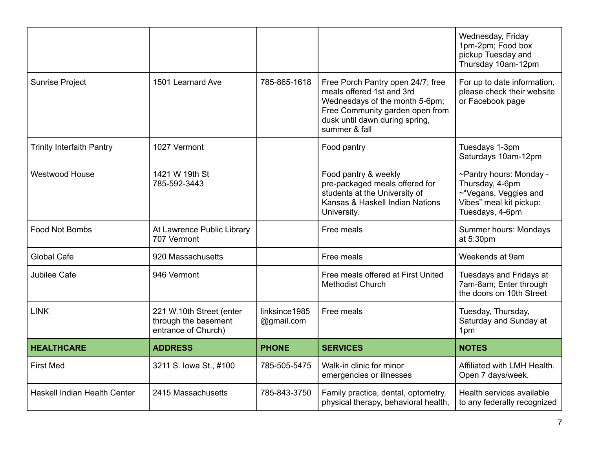|                                  |                                                                         |                             |                                                                                                                                                                                        | Wednesday, Friday<br>1pm-2pm; Food box<br>pickup Tuesday and<br>Thursday 10am-12pm                                |
|----------------------------------|-------------------------------------------------------------------------|-----------------------------|----------------------------------------------------------------------------------------------------------------------------------------------------------------------------------------|-------------------------------------------------------------------------------------------------------------------|
| <b>Sunrise Project</b>           | 1501 Learnard Ave                                                       | 785-865-1618                | Free Porch Pantry open 24/7; free<br>meals offered 1st and 3rd<br>Wednesdays of the month 5-6pm;<br>Free Community garden open from<br>dusk until dawn during spring,<br>summer & fall | For up to date information,<br>please check their website<br>or Facebook page                                     |
| <b>Trinity Interfaith Pantry</b> | 1027 Vermont                                                            |                             | Food pantry                                                                                                                                                                            | Tuesdays 1-3pm<br>Saturdays 10am-12pm                                                                             |
| <b>Westwood House</b>            | 1421 W 19th St<br>785-592-3443                                          |                             | Food pantry & weekly<br>pre-packaged meals offered for<br>students at the University of<br>Kansas & Haskell Indian Nations<br>University.                                              | ~Pantry hours: Monday -<br>Thursday, 4-6pm<br>~"Vegans, Veggies and<br>Vibes" meal kit pickup:<br>Tuesdays, 4-6pm |
| Food Not Bombs                   | At Lawrence Public Library<br>707 Vermont                               |                             | Free meals                                                                                                                                                                             | Summer hours: Mondays<br>at 5:30pm                                                                                |
| <b>Global Cafe</b>               | 920 Massachusetts                                                       |                             | Free meals                                                                                                                                                                             | Weekends at 9am                                                                                                   |
| Jubilee Cafe                     | 946 Vermont                                                             |                             | Free meals offered at First United<br><b>Methodist Church</b>                                                                                                                          | Tuesdays and Fridays at<br>7am-8am; Enter through<br>the doors on 10th Street                                     |
| <b>LINK</b>                      | 221 W.10th Street (enter<br>through the basement<br>entrance of Church) | linksince1985<br>@gmail.com | Free meals                                                                                                                                                                             | Tuesday, Thursday,<br>Saturday and Sunday at<br>1pm                                                               |
| <b>HEALTHCARE</b>                | <b>ADDRESS</b>                                                          | <b>PHONE</b>                | <b>SERVICES</b>                                                                                                                                                                        | <b>NOTES</b>                                                                                                      |
| <b>First Med</b>                 | 3211 S. Iowa St., #100                                                  | 785-505-5475                | Walk-in clinic for minor<br>emergencies or illnesses                                                                                                                                   | Affiliated with LMH Health.<br>Open 7 days/week.                                                                  |
| Haskell Indian Health Center     | 2415 Massachusetts                                                      | 785-843-3750                | Family practice, dental, optometry,<br>physical therapy, behavioral health,                                                                                                            | Health services available<br>to any federally recognized                                                          |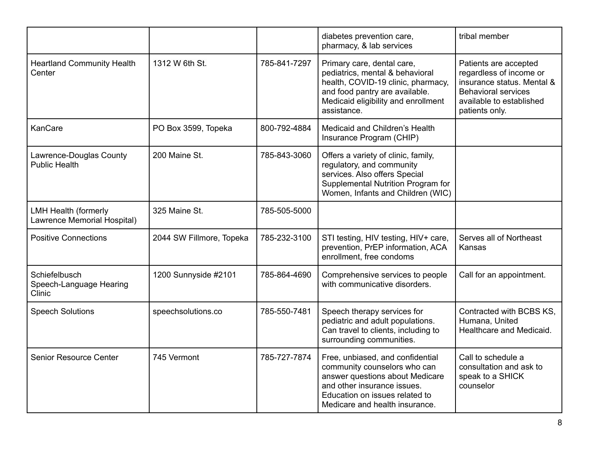|                                                            |                          |              | diabetes prevention care,<br>pharmacy, & lab services                                                                                                                                                  | tribal member                                                                                                                                              |
|------------------------------------------------------------|--------------------------|--------------|--------------------------------------------------------------------------------------------------------------------------------------------------------------------------------------------------------|------------------------------------------------------------------------------------------------------------------------------------------------------------|
| <b>Heartland Community Health</b><br>Center                | 1312 W 6th St.           | 785-841-7297 | Primary care, dental care,<br>pediatrics, mental & behavioral<br>health, COVID-19 clinic, pharmacy,<br>and food pantry are available.<br>Medicaid eligibility and enrollment<br>assistance.            | Patients are accepted<br>regardless of income or<br>insurance status. Mental &<br><b>Behavioral services</b><br>available to established<br>patients only. |
| KanCare                                                    | PO Box 3599, Topeka      | 800-792-4884 | Medicaid and Children's Health<br>Insurance Program (CHIP)                                                                                                                                             |                                                                                                                                                            |
| Lawrence-Douglas County<br><b>Public Health</b>            | 200 Maine St.            | 785-843-3060 | Offers a variety of clinic, family,<br>regulatory, and community<br>services. Also offers Special<br>Supplemental Nutrition Program for<br>Women, Infants and Children (WIC)                           |                                                                                                                                                            |
| <b>LMH Health (formerly</b><br>Lawrence Memorial Hospital) | 325 Maine St.            | 785-505-5000 |                                                                                                                                                                                                        |                                                                                                                                                            |
| <b>Positive Connections</b>                                | 2044 SW Fillmore, Topeka | 785-232-3100 | STI testing, HIV testing, HIV+ care,<br>prevention, PrEP information, ACA<br>enrollment, free condoms                                                                                                  | Serves all of Northeast<br>Kansas                                                                                                                          |
| Schiefelbusch<br>Speech-Language Hearing<br><b>Clinic</b>  | 1200 Sunnyside #2101     | 785-864-4690 | Comprehensive services to people<br>with communicative disorders.                                                                                                                                      | Call for an appointment.                                                                                                                                   |
| <b>Speech Solutions</b>                                    | speechsolutions.co       | 785-550-7481 | Speech therapy services for<br>pediatric and adult populations.<br>Can travel to clients, including to<br>surrounding communities.                                                                     | Contracted with BCBS KS,<br>Humana, United<br>Healthcare and Medicaid.                                                                                     |
| Senior Resource Center                                     | 745 Vermont              | 785-727-7874 | Free, unbiased, and confidential<br>community counselors who can<br>answer questions about Medicare<br>and other insurance issues.<br>Education on issues related to<br>Medicare and health insurance. | Call to schedule a<br>consultation and ask to<br>speak to a SHICK<br>counselor                                                                             |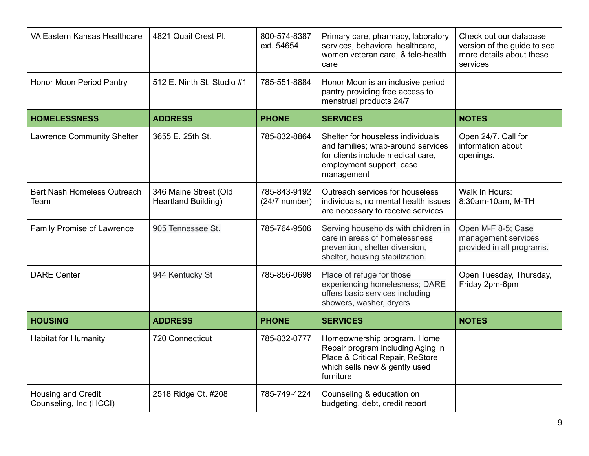| VA Eastern Kansas Healthcare                 | 4821 Quail Crest Pl.                                | 800-574-8387<br>ext. 54654      | Primary care, pharmacy, laboratory<br>services, behavioral healthcare,<br>women veteran care, & tele-health<br>care                                    | Check out our database<br>version of the guide to see<br>more details about these<br>services |
|----------------------------------------------|-----------------------------------------------------|---------------------------------|--------------------------------------------------------------------------------------------------------------------------------------------------------|-----------------------------------------------------------------------------------------------|
| Honor Moon Period Pantry                     | 512 E. Ninth St, Studio #1                          | 785-551-8884                    | Honor Moon is an inclusive period<br>pantry providing free access to<br>menstrual products 24/7                                                        |                                                                                               |
| <b>HOMELESSNESS</b>                          | <b>ADDRESS</b>                                      | <b>PHONE</b>                    | <b>SERVICES</b>                                                                                                                                        | <b>NOTES</b>                                                                                  |
| <b>Lawrence Community Shelter</b>            | 3655 E. 25th St.                                    | 785-832-8864                    | Shelter for houseless individuals<br>and families; wrap-around services<br>for clients include medical care,<br>employment support, case<br>management | Open 24/7. Call for<br>information about<br>openings.                                         |
| <b>Bert Nash Homeless Outreach</b><br>Team   | 346 Maine Street (Old<br><b>Heartland Building)</b> | 785-843-9192<br>$(24/7$ number) | Outreach services for houseless<br>individuals, no mental health issues<br>are necessary to receive services                                           | Walk In Hours:<br>8:30am-10am, M-TH                                                           |
| Family Promise of Lawrence                   | 905 Tennessee St.                                   | 785-764-9506                    | Serving households with children in<br>care in areas of homelessness<br>prevention, shelter diversion,<br>shelter, housing stabilization.              | Open M-F 8-5; Case<br>management services<br>provided in all programs.                        |
| <b>DARE Center</b>                           | 944 Kentucky St                                     | 785-856-0698                    | Place of refuge for those<br>experiencing homelesness; DARE<br>offers basic services including<br>showers, washer, dryers                              | Open Tuesday, Thursday,<br>Friday 2pm-6pm                                                     |
| <b>HOUSING</b>                               | <b>ADDRESS</b>                                      | <b>PHONE</b>                    | <b>SERVICES</b>                                                                                                                                        | <b>NOTES</b>                                                                                  |
| <b>Habitat for Humanity</b>                  | 720 Connecticut                                     | 785-832-0777                    | Homeownership program, Home<br>Repair program including Aging in<br>Place & Critical Repair, ReStore<br>which sells new & gently used<br>furniture     |                                                                                               |
| Housing and Credit<br>Counseling, Inc (HCCI) | 2518 Ridge Ct. #208                                 | 785-749-4224                    | Counseling & education on<br>budgeting, debt, credit report                                                                                            |                                                                                               |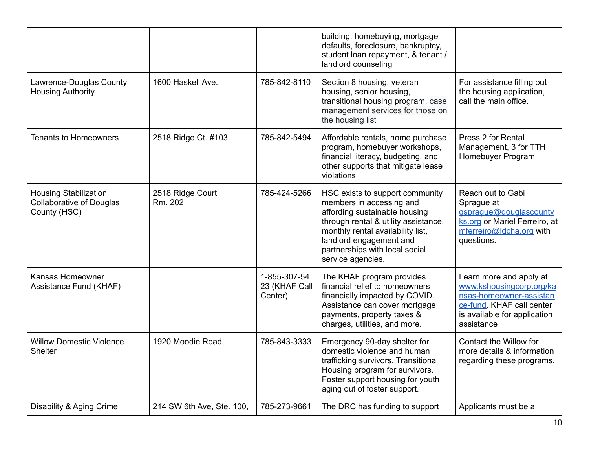|                                                                                 |                             |                                          | building, homebuying, mortgage<br>defaults, foreclosure, bankruptcy,<br>student loan repayment, & tenant /<br>landlord counseling                                                                                                                           |                                                                                                                                                           |
|---------------------------------------------------------------------------------|-----------------------------|------------------------------------------|-------------------------------------------------------------------------------------------------------------------------------------------------------------------------------------------------------------------------------------------------------------|-----------------------------------------------------------------------------------------------------------------------------------------------------------|
| Lawrence-Douglas County<br><b>Housing Authority</b>                             | 1600 Haskell Ave.           | 785-842-8110                             | Section 8 housing, veteran<br>housing, senior housing,<br>transitional housing program, case<br>management services for those on<br>the housing list                                                                                                        | For assistance filling out<br>the housing application,<br>call the main office.                                                                           |
| <b>Tenants to Homeowners</b>                                                    | 2518 Ridge Ct. #103         | 785-842-5494                             | Affordable rentals, home purchase<br>program, homebuyer workshops,<br>financial literacy, budgeting, and<br>other supports that mitigate lease<br>violations                                                                                                | Press 2 for Rental<br>Management, 3 for TTH<br>Homebuyer Program                                                                                          |
| <b>Housing Stabilization</b><br><b>Collaborative of Douglas</b><br>County (HSC) | 2518 Ridge Court<br>Rm. 202 | 785-424-5266                             | HSC exists to support community<br>members in accessing and<br>affording sustainable housing<br>through rental & utility assistance,<br>monthly rental availability list,<br>landlord engagement and<br>partnerships with local social<br>service agencies. | Reach out to Gabi<br>Sprague at<br>gsprague@douglascounty<br>ks.org or Mariel Ferreiro, at<br>mferreiro@ldcha.org with<br>questions.                      |
| Kansas Homeowner<br>Assistance Fund (KHAF)                                      |                             | 1-855-307-54<br>23 (KHAF Call<br>Center) | The KHAF program provides<br>financial relief to homeowners<br>financially impacted by COVID.<br>Assistance can cover mortgage<br>payments, property taxes &<br>charges, utilities, and more.                                                               | Learn more and apply at<br>www.kshousingcorp.org/ka<br>nsas-homeowner-assistan<br>ce-fund. KHAF call center<br>is available for application<br>assistance |
| <b>Willow Domestic Violence</b><br>Shelter                                      | 1920 Moodie Road            | 785-843-3333                             | Emergency 90-day shelter for<br>domestic violence and human<br>trafficking survivors. Transitional<br>Housing program for survivors.<br>Foster support housing for youth<br>aging out of foster support.                                                    | Contact the Willow for<br>more details & information<br>regarding these programs.                                                                         |
| Disability & Aging Crime                                                        | 214 SW 6th Ave, Ste. 100,   | 785-273-9661                             | The DRC has funding to support                                                                                                                                                                                                                              | Applicants must be a                                                                                                                                      |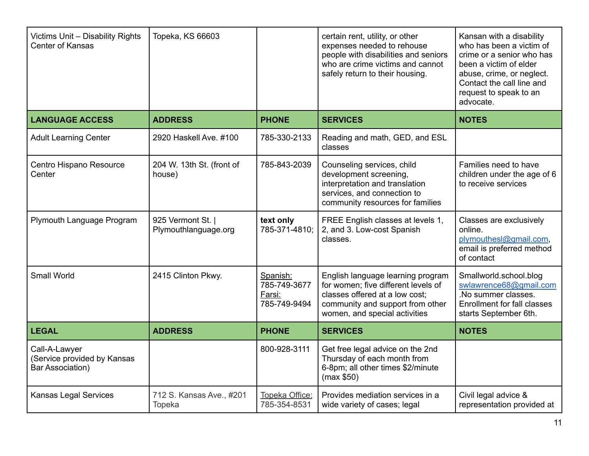| Victims Unit - Disability Rights<br><b>Center of Kansas</b>             | Topeka, KS 66603                          |                                                    | certain rent, utility, or other<br>expenses needed to rehouse<br>people with disabilities and seniors<br>who are crime victims and cannot<br>safely return to their housing.    | Kansan with a disability<br>who has been a victim of<br>crime or a senior who has<br>been a victim of elder<br>abuse, crime, or neglect.<br>Contact the call line and<br>request to speak to an<br>advocate. |
|-------------------------------------------------------------------------|-------------------------------------------|----------------------------------------------------|---------------------------------------------------------------------------------------------------------------------------------------------------------------------------------|--------------------------------------------------------------------------------------------------------------------------------------------------------------------------------------------------------------|
| <b>LANGUAGE ACCESS</b>                                                  | <b>ADDRESS</b>                            | <b>PHONE</b>                                       | <b>SERVICES</b>                                                                                                                                                                 | <b>NOTES</b>                                                                                                                                                                                                 |
| <b>Adult Learning Center</b>                                            | 2920 Haskell Ave. #100                    | 785-330-2133                                       | Reading and math, GED, and ESL<br>classes                                                                                                                                       |                                                                                                                                                                                                              |
| Centro Hispano Resource<br>Center                                       | 204 W. 13th St. (front of<br>house)       | 785-843-2039                                       | Counseling services, child<br>development screening,<br>interpretation and translation<br>services, and connection to<br>community resources for families                       | Families need to have<br>children under the age of 6<br>to receive services                                                                                                                                  |
| Plymouth Language Program                                               | 925 Vermont St.  <br>Plymouthlanguage.org | text only<br>785-371-4810:                         | FREE English classes at levels 1,<br>2, and 3. Low-cost Spanish<br>classes.                                                                                                     | Classes are exclusively<br>online.<br>plymouthesl@gmail.com,<br>email is preferred method<br>of contact                                                                                                      |
| <b>Small World</b>                                                      | 2415 Clinton Pkwy.                        | Spanish:<br>785-749-3677<br>Farsi:<br>785-749-9494 | English language learning program<br>for women; five different levels of<br>classes offered at a low cost:<br>community and support from other<br>women, and special activities | Smallworld.school.blog<br>swlawrence68@gmail.com<br>.No summer classes.<br><b>Enrollment for fall classes</b><br>starts September 6th.                                                                       |
| <b>LEGAL</b>                                                            | <b>ADDRESS</b>                            | <b>PHONE</b>                                       | <b>SERVICES</b>                                                                                                                                                                 | <b>NOTES</b>                                                                                                                                                                                                 |
| Call-A-Lawyer<br>(Service provided by Kansas<br><b>Bar Association)</b> |                                           | 800-928-3111                                       | Get free legal advice on the 2nd<br>Thursday of each month from<br>6-8pm; all other times \$2/minute<br>(max \$50)                                                              |                                                                                                                                                                                                              |
| Kansas Legal Services                                                   | 712 S. Kansas Ave., #201<br>Topeka        | Topeka Office:<br>785-354-8531                     | Provides mediation services in a<br>wide variety of cases; legal                                                                                                                | Civil legal advice &<br>representation provided at                                                                                                                                                           |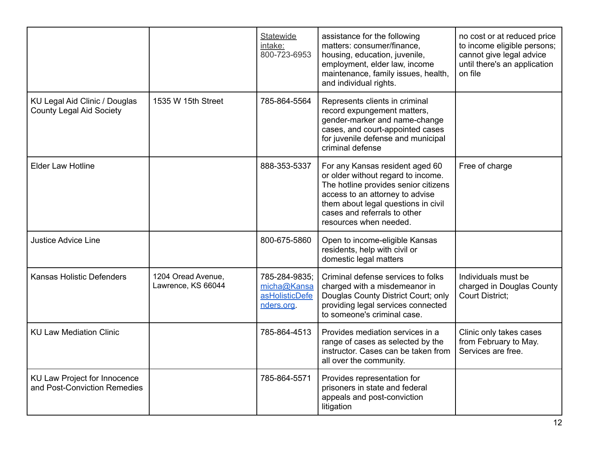|                                                                         |                                          | Statewide<br>intake:<br>800-723-6953                         | assistance for the following<br>matters: consumer/finance,<br>housing, education, juvenile,<br>employment, elder law, income<br>maintenance, family issues, health,<br>and individual rights.                                                     | no cost or at reduced price<br>to income eligible persons;<br>cannot give legal advice<br>until there's an application<br>on file |
|-------------------------------------------------------------------------|------------------------------------------|--------------------------------------------------------------|---------------------------------------------------------------------------------------------------------------------------------------------------------------------------------------------------------------------------------------------------|-----------------------------------------------------------------------------------------------------------------------------------|
| <b>KU Legal Aid Clinic / Douglas</b><br><b>County Legal Aid Society</b> | 1535 W 15th Street                       | 785-864-5564                                                 | Represents clients in criminal<br>record expungement matters,<br>gender-marker and name-change<br>cases, and court-appointed cases<br>for juvenile defense and municipal<br>criminal defense                                                      |                                                                                                                                   |
| <b>Elder Law Hotline</b>                                                |                                          | 888-353-5337                                                 | For any Kansas resident aged 60<br>or older without regard to income.<br>The hotline provides senior citizens<br>access to an attorney to advise<br>them about legal questions in civil<br>cases and referrals to other<br>resources when needed. | Free of charge                                                                                                                    |
| <b>Justice Advice Line</b>                                              |                                          | 800-675-5860                                                 | Open to income-eligible Kansas<br>residents, help with civil or<br>domestic legal matters                                                                                                                                                         |                                                                                                                                   |
| <b>Kansas Holistic Defenders</b>                                        | 1204 Oread Avenue,<br>Lawrence, KS 66044 | 785-284-9835;<br>micha@Kansa<br>asHolisticDefe<br>nders.org. | Criminal defense services to folks<br>charged with a misdemeanor in<br>Douglas County District Court; only<br>providing legal services connected<br>to someone's criminal case.                                                                   | Individuals must be<br>charged in Douglas County<br><b>Court District:</b>                                                        |
| <b>KU Law Mediation Clinic</b>                                          |                                          | 785-864-4513                                                 | Provides mediation services in a<br>range of cases as selected by the<br>instructor. Cases can be taken from<br>all over the community.                                                                                                           | Clinic only takes cases<br>from February to May.<br>Services are free.                                                            |
| KU Law Project for Innocence<br>and Post-Conviction Remedies            |                                          | 785-864-5571                                                 | Provides representation for<br>prisoners in state and federal<br>appeals and post-conviction<br>litigation                                                                                                                                        |                                                                                                                                   |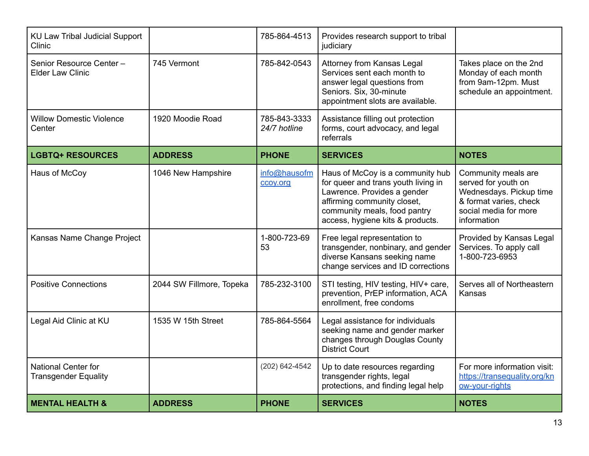| <b>KU Law Tribal Judicial Support</b><br>Clinic           |                          | 785-864-4513                 | Provides research support to tribal<br>judiciary                                                                                                                                                          |                                                                                                                                         |
|-----------------------------------------------------------|--------------------------|------------------------------|-----------------------------------------------------------------------------------------------------------------------------------------------------------------------------------------------------------|-----------------------------------------------------------------------------------------------------------------------------------------|
| Senior Resource Center -<br><b>Elder Law Clinic</b>       | 745 Vermont              | 785-842-0543                 | Attorney from Kansas Legal<br>Services sent each month to<br>answer legal questions from<br>Seniors. Six, 30-minute<br>appointment slots are available.                                                   | Takes place on the 2nd<br>Monday of each month<br>from 9am-12pm. Must<br>schedule an appointment.                                       |
| <b>Willow Domestic Violence</b><br>Center                 | 1920 Moodie Road         | 785-843-3333<br>24/7 hotline | Assistance filling out protection<br>forms, court advocacy, and legal<br>referrals                                                                                                                        |                                                                                                                                         |
| <b>LGBTQ+ RESOURCES</b>                                   | <b>ADDRESS</b>           | <b>PHONE</b>                 | <b>SERVICES</b>                                                                                                                                                                                           | <b>NOTES</b>                                                                                                                            |
| Haus of McCoy                                             | 1046 New Hampshire       | info@hausofm<br>ccoy.org     | Haus of McCoy is a community hub<br>for queer and trans youth living in<br>Lawrence. Provides a gender<br>affirming community closet,<br>community meals, food pantry<br>access, hygiene kits & products. | Community meals are<br>served for youth on<br>Wednesdays. Pickup time<br>& format varies, check<br>social media for more<br>information |
| Kansas Name Change Project                                |                          | 1-800-723-69<br>53           | Free legal representation to<br>transgender, nonbinary, and gender<br>diverse Kansans seeking name<br>change services and ID corrections                                                                  | Provided by Kansas Legal<br>Services. To apply call<br>1-800-723-6953                                                                   |
| <b>Positive Connections</b>                               | 2044 SW Fillmore, Topeka | 785-232-3100                 | STI testing, HIV testing, HIV+ care,<br>prevention, PrEP information, ACA<br>enrollment, free condoms                                                                                                     | Serves all of Northeastern<br>Kansas                                                                                                    |
| Legal Aid Clinic at KU                                    | 1535 W 15th Street       | 785-864-5564                 | Legal assistance for individuals<br>seeking name and gender marker<br>changes through Douglas County<br><b>District Court</b>                                                                             |                                                                                                                                         |
| <b>National Center for</b><br><b>Transgender Equality</b> |                          | (202) 642-4542               | Up to date resources regarding<br>transgender rights, legal<br>protections, and finding legal help                                                                                                        | For more information visit:<br>https://transequality.org/kn<br>ow-your-rights                                                           |
| <b>MENTAL HEALTH &amp;</b>                                | <b>ADDRESS</b>           | <b>PHONE</b>                 | <b>SERVICES</b>                                                                                                                                                                                           | <b>NOTES</b>                                                                                                                            |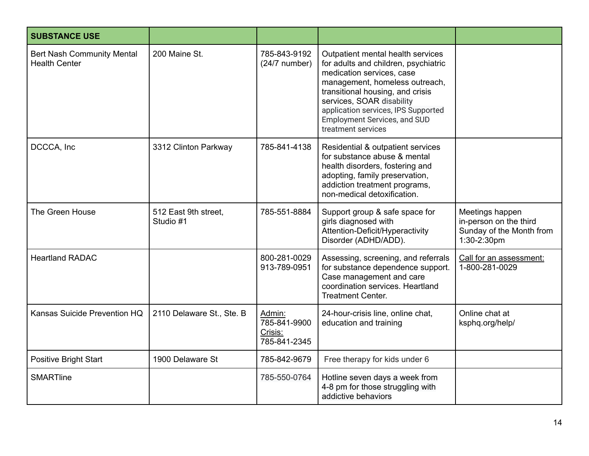| <b>SUBSTANCE USE</b>                                      |                                   |                                                   |                                                                                                                                                                                                                                                                                                               |                                                                                      |
|-----------------------------------------------------------|-----------------------------------|---------------------------------------------------|---------------------------------------------------------------------------------------------------------------------------------------------------------------------------------------------------------------------------------------------------------------------------------------------------------------|--------------------------------------------------------------------------------------|
| <b>Bert Nash Community Mental</b><br><b>Health Center</b> | 200 Maine St.                     | 785-843-9192<br>$(24/7$ number)                   | Outpatient mental health services<br>for adults and children, psychiatric<br>medication services, case<br>management, homeless outreach,<br>transitional housing, and crisis<br>services, SOAR disability<br>application services, IPS Supported<br><b>Employment Services, and SUD</b><br>treatment services |                                                                                      |
| DCCCA, Inc                                                | 3312 Clinton Parkway              | 785-841-4138                                      | Residential & outpatient services<br>for substance abuse & mental<br>health disorders, fostering and<br>adopting, family preservation,<br>addiction treatment programs,<br>non-medical detoxification.                                                                                                        |                                                                                      |
| The Green House                                           | 512 East 9th street,<br>Studio #1 | 785-551-8884                                      | Support group & safe space for<br>girls diagnosed with<br>Attention-Deficit/Hyperactivity<br>Disorder (ADHD/ADD).                                                                                                                                                                                             | Meetings happen<br>in-person on the third<br>Sunday of the Month from<br>1:30-2:30pm |
| <b>Heartland RADAC</b>                                    |                                   | 800-281-0029<br>913-789-0951                      | Assessing, screening, and referrals<br>for substance dependence support.<br>Case management and care<br>coordination services. Heartland<br><b>Treatment Center.</b>                                                                                                                                          | Call for an assessment:<br>1-800-281-0029                                            |
| Kansas Suicide Prevention HQ                              | 2110 Delaware St., Ste. B         | Admin:<br>785-841-9900<br>Crisis:<br>785-841-2345 | 24-hour-crisis line, online chat,<br>education and training                                                                                                                                                                                                                                                   | Online chat at<br>ksphq.org/help/                                                    |
| <b>Positive Bright Start</b>                              | 1900 Delaware St                  | 785-842-9679                                      | Free therapy for kids under 6                                                                                                                                                                                                                                                                                 |                                                                                      |
| <b>SMARTline</b>                                          |                                   | 785-550-0764                                      | Hotline seven days a week from<br>4-8 pm for those struggling with<br>addictive behaviors                                                                                                                                                                                                                     |                                                                                      |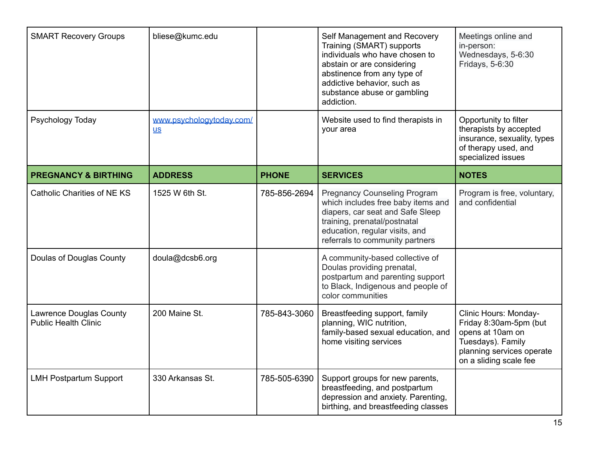| <b>SMART Recovery Groups</b>                                  | bliese@kumc.edu                  |              | Self Management and Recovery<br>Training (SMART) supports<br>individuals who have chosen to<br>abstain or are considering<br>abstinence from any type of<br>addictive behavior, such as<br>substance abuse or gambling<br>addiction. | Meetings online and<br>in-person:<br>Wednesdays, 5-6:30<br>Fridays, 5-6:30                                                                      |
|---------------------------------------------------------------|----------------------------------|--------------|--------------------------------------------------------------------------------------------------------------------------------------------------------------------------------------------------------------------------------------|-------------------------------------------------------------------------------------------------------------------------------------------------|
| Psychology Today                                              | www.psychologytoday.com/<br>$us$ |              | Website used to find therapists in<br>your area                                                                                                                                                                                      | Opportunity to filter<br>therapists by accepted<br>insurance, sexuality, types<br>of therapy used, and<br>specialized issues                    |
| <b>PREGNANCY &amp; BIRTHING</b>                               | <b>ADDRESS</b>                   | <b>PHONE</b> | <b>SERVICES</b>                                                                                                                                                                                                                      | <b>NOTES</b>                                                                                                                                    |
| Catholic Charities of NE KS                                   | 1525 W 6th St.                   | 785-856-2694 | <b>Pregnancy Counseling Program</b><br>which includes free baby items and<br>diapers, car seat and Safe Sleep<br>training, prenatal/postnatal<br>education, regular visits, and<br>referrals to community partners                   | Program is free, voluntary,<br>and confidential                                                                                                 |
| Doulas of Douglas County                                      | doula@dcsb6.org                  |              | A community-based collective of<br>Doulas providing prenatal,<br>postpartum and parenting support<br>to Black, Indigenous and people of<br>color communities                                                                         |                                                                                                                                                 |
| <b>Lawrence Douglas County</b><br><b>Public Health Clinic</b> | 200 Maine St.                    | 785-843-3060 | Breastfeeding support, family<br>planning, WIC nutrition,<br>family-based sexual education, and<br>home visiting services                                                                                                            | Clinic Hours: Monday-<br>Friday 8:30am-5pm (but<br>opens at 10am on<br>Tuesdays). Family<br>planning services operate<br>on a sliding scale fee |
| <b>LMH Postpartum Support</b>                                 | 330 Arkansas St.                 | 785-505-6390 | Support groups for new parents,<br>breastfeeding, and postpartum<br>depression and anxiety. Parenting,<br>birthing, and breastfeeding classes                                                                                        |                                                                                                                                                 |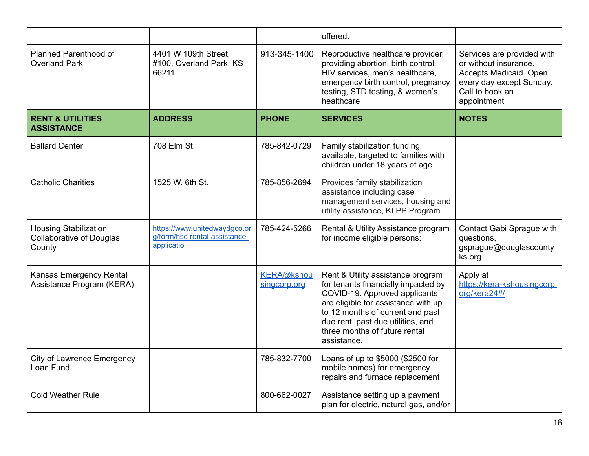|                                                                           |                                                                             |                                   | offered.                                                                                                                                                                                                                                                                  |                                                                                                                                             |
|---------------------------------------------------------------------------|-----------------------------------------------------------------------------|-----------------------------------|---------------------------------------------------------------------------------------------------------------------------------------------------------------------------------------------------------------------------------------------------------------------------|---------------------------------------------------------------------------------------------------------------------------------------------|
| Planned Parenthood of<br><b>Overland Park</b>                             | 4401 W 109th Street,<br>#100, Overland Park, KS<br>66211                    | 913-345-1400                      | Reproductive healthcare provider,<br>providing abortion, birth control,<br>HIV services, men's healthcare,<br>emergency birth control, pregnancy<br>testing, STD testing, & women's<br>healthcare                                                                         | Services are provided with<br>or without insurance.<br>Accepts Medicaid. Open<br>every day except Sunday.<br>Call to book an<br>appointment |
| <b>RENT &amp; UTILITIES</b><br><b>ASSISTANCE</b>                          | <b>ADDRESS</b>                                                              | <b>PHONE</b>                      | <b>SERVICES</b>                                                                                                                                                                                                                                                           | <b>NOTES</b>                                                                                                                                |
| <b>Ballard Center</b>                                                     | 708 Elm St.                                                                 | 785-842-0729                      | Family stabilization funding<br>available, targeted to families with<br>children under 18 years of age                                                                                                                                                                    |                                                                                                                                             |
| <b>Catholic Charities</b>                                                 | 1525 W. 6th St.                                                             | 785-856-2694                      | Provides family stabilization<br>assistance including case<br>management services, housing and<br>utility assistance, KLPP Program                                                                                                                                        |                                                                                                                                             |
| <b>Housing Stabilization</b><br><b>Collaborative of Douglas</b><br>County | https://www.unitedwaydgco.or<br>g/form/hsc-rental-assistance-<br>applicatio | 785-424-5266                      | Rental & Utility Assistance program<br>for income eligible persons;                                                                                                                                                                                                       | Contact Gabi Sprague with<br>questions,<br>gsprague@douglascounty<br>ks.org                                                                 |
| Kansas Emergency Rental<br>Assistance Program (KERA)                      |                                                                             | <b>KERA@kshou</b><br>singcorp.org | Rent & Utility assistance program<br>for tenants financially impacted by<br>COVID-19. Approved applicants<br>are eligible for assistance with up<br>to 12 months of current and past<br>due rent, past due utilities, and<br>three months of future rental<br>assistance. | Apply at<br>https://kera-kshousingcorp.<br>org/kera24#/                                                                                     |
| <b>City of Lawrence Emergency</b><br>Loan Fund                            |                                                                             | 785-832-7700                      | Loans of up to \$5000 (\$2500 for<br>mobile homes) for emergency<br>repairs and furnace replacement                                                                                                                                                                       |                                                                                                                                             |
| <b>Cold Weather Rule</b>                                                  |                                                                             | 800-662-0027                      | Assistance setting up a payment<br>plan for electric, natural gas, and/or                                                                                                                                                                                                 |                                                                                                                                             |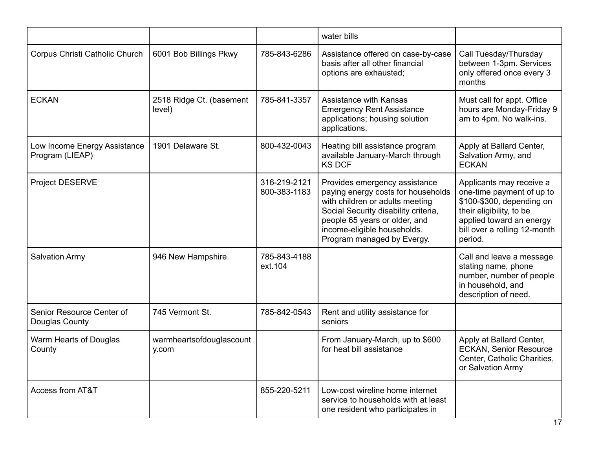|                                                 |                                    |                              | water bills                                                                                                                                                                                                                                  |                                                                                                                                                                                       |
|-------------------------------------------------|------------------------------------|------------------------------|----------------------------------------------------------------------------------------------------------------------------------------------------------------------------------------------------------------------------------------------|---------------------------------------------------------------------------------------------------------------------------------------------------------------------------------------|
| Corpus Christi Catholic Church                  | 6001 Bob Billings Pkwy             | 785-843-6286                 | Assistance offered on case-by-case<br>basis after all other financial<br>options are exhausted;                                                                                                                                              | Call Tuesday/Thursday<br>between 1-3pm. Services<br>only offered once every 3<br>months                                                                                               |
| <b>ECKAN</b>                                    | 2518 Ridge Ct. (basement<br>level) | 785-841-3357                 | <b>Assistance with Kansas</b><br><b>Emergency Rent Assistance</b><br>applications; housing solution<br>applications.                                                                                                                         | Must call for appt. Office<br>hours are Monday-Friday 9<br>am to 4pm. No walk-ins.                                                                                                    |
| Low Income Energy Assistance<br>Program (LIEAP) | 1901 Delaware St.                  | 800-432-0043                 | Heating bill assistance program<br>available January-March through<br><b>KS DCF</b>                                                                                                                                                          | Apply at Ballard Center,<br>Salvation Army, and<br><b>ECKAN</b>                                                                                                                       |
| <b>Project DESERVE</b>                          |                                    | 316-219-2121<br>800-383-1183 | Provides emergency assistance<br>paying energy costs for households<br>with children or adults meeting<br>Social Security disability criteria,<br>people 65 years or older, and<br>income-eligible households.<br>Program managed by Evergy. | Applicants may receive a<br>one-time payment of up to<br>\$100-\$300, depending on<br>their eligibility, to be<br>applied toward an energy<br>bill over a rolling 12-month<br>period. |
| <b>Salvation Army</b>                           | 946 New Hampshire                  | 785-843-4188<br>ext.104      |                                                                                                                                                                                                                                              | Call and leave a message<br>stating name, phone<br>number, number of people<br>in household, and<br>description of need.                                                              |
| Senior Resource Center of<br>Douglas County     | 745 Vermont St.                    | 785-842-0543                 | Rent and utility assistance for<br>seniors                                                                                                                                                                                                   |                                                                                                                                                                                       |
| Warm Hearts of Douglas<br>County                | warmheartsofdouglascount<br>y.com  |                              | From January-March, up to \$600<br>for heat bill assistance                                                                                                                                                                                  | Apply at Ballard Center,<br><b>ECKAN, Senior Resource</b><br>Center, Catholic Charities,<br>or Salvation Army                                                                         |
| Access from AT&T                                |                                    | 855-220-5211                 | Low-cost wireline home internet<br>service to households with at least<br>one resident who participates in                                                                                                                                   |                                                                                                                                                                                       |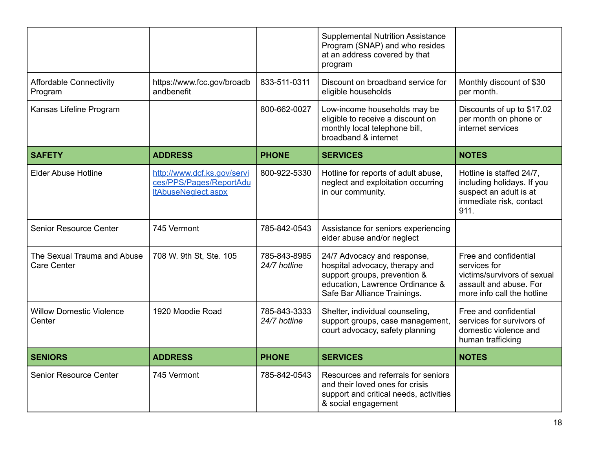|                                            |                                                                                      |                              | <b>Supplemental Nutrition Assistance</b><br>Program (SNAP) and who resides<br>at an address covered by that<br>program                                           |                                                                                                                              |
|--------------------------------------------|--------------------------------------------------------------------------------------|------------------------------|------------------------------------------------------------------------------------------------------------------------------------------------------------------|------------------------------------------------------------------------------------------------------------------------------|
| <b>Affordable Connectivity</b><br>Program  | https://www.fcc.gov/broadb<br>andbenefit                                             | 833-511-0311                 | Discount on broadband service for<br>eligible households                                                                                                         | Monthly discount of \$30<br>per month.                                                                                       |
| Kansas Lifeline Program                    |                                                                                      | 800-662-0027                 | Low-income households may be<br>eligible to receive a discount on<br>monthly local telephone bill,<br>broadband & internet                                       | Discounts of up to \$17.02<br>per month on phone or<br>internet services                                                     |
| <b>SAFETY</b>                              | <b>ADDRESS</b>                                                                       | <b>PHONE</b>                 | <b>SERVICES</b>                                                                                                                                                  | <b>NOTES</b>                                                                                                                 |
| <b>Elder Abuse Hotline</b>                 | http://www.dcf.ks.gov/servi<br>ces/PPS/Pages/ReportAdu<br><b>ItAbuseNeglect.aspx</b> | 800-922-5330                 | Hotline for reports of adult abuse,<br>neglect and exploitation occurring<br>in our community.                                                                   | Hotline is staffed 24/7,<br>including holidays. If you<br>suspect an adult is at<br>immediate risk, contact<br>911.          |
| <b>Senior Resource Center</b>              | 745 Vermont                                                                          | 785-842-0543                 | Assistance for seniors experiencing<br>elder abuse and/or neglect                                                                                                |                                                                                                                              |
| The Sexual Trauma and Abuse<br>Care Center | 708 W. 9th St, Ste. 105                                                              | 785-843-8985<br>24/7 hotline | 24/7 Advocacy and response,<br>hospital advocacy, therapy and<br>support groups, prevention &<br>education, Lawrence Ordinance &<br>Safe Bar Alliance Trainings. | Free and confidential<br>services for<br>victims/survivors of sexual<br>assault and abuse. For<br>more info call the hotline |
| <b>Willow Domestic Violence</b><br>Center  | 1920 Moodie Road                                                                     | 785-843-3333<br>24/7 hotline | Shelter, individual counseling,<br>support groups, case management,<br>court advocacy, safety planning                                                           | Free and confidential<br>services for survivors of<br>domestic violence and<br>human trafficking                             |
| <b>SENIORS</b>                             | <b>ADDRESS</b>                                                                       | <b>PHONE</b>                 | <b>SERVICES</b>                                                                                                                                                  | <b>NOTES</b>                                                                                                                 |
| <b>Senior Resource Center</b>              | 745 Vermont                                                                          | 785-842-0543                 | Resources and referrals for seniors<br>and their loved ones for crisis<br>support and critical needs, activities<br>& social engagement                          |                                                                                                                              |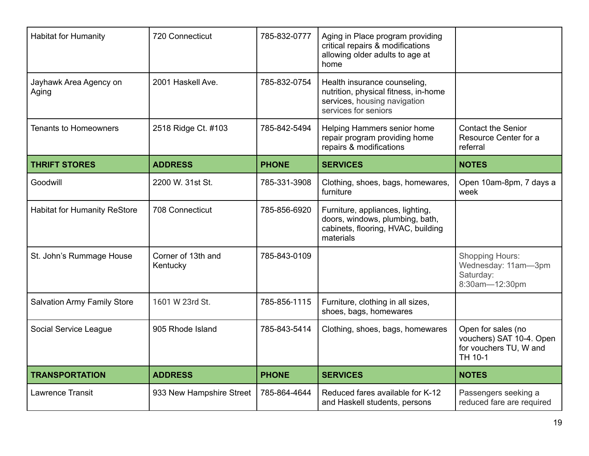| <b>Habitat for Humanity</b>         | 720 Connecticut                | 785-832-0777 | Aging in Place program providing<br>critical repairs & modifications<br>allowing older adults to age at<br>home              |                                                                                     |
|-------------------------------------|--------------------------------|--------------|------------------------------------------------------------------------------------------------------------------------------|-------------------------------------------------------------------------------------|
| Jayhawk Area Agency on<br>Aging     | 2001 Haskell Ave.              | 785-832-0754 | Health insurance counseling,<br>nutrition, physical fitness, in-home<br>services, housing navigation<br>services for seniors |                                                                                     |
| <b>Tenants to Homeowners</b>        | 2518 Ridge Ct. #103            | 785-842-5494 | Helping Hammers senior home<br>repair program providing home<br>repairs & modifications                                      | <b>Contact the Senior</b><br>Resource Center for a<br>referral                      |
| <b>THRIFT STORES</b>                | <b>ADDRESS</b>                 | <b>PHONE</b> | <b>SERVICES</b>                                                                                                              | <b>NOTES</b>                                                                        |
| Goodwill                            | 2200 W. 31st St.               | 785-331-3908 | Clothing, shoes, bags, homewares,<br>furniture                                                                               | Open 10am-8pm, 7 days a<br>week                                                     |
| <b>Habitat for Humanity ReStore</b> | 708 Connecticut                | 785-856-6920 | Furniture, appliances, lighting,<br>doors, windows, plumbing, bath,<br>cabinets, flooring, HVAC, building<br>materials       |                                                                                     |
| St. John's Rummage House            | Corner of 13th and<br>Kentucky | 785-843-0109 |                                                                                                                              | <b>Shopping Hours:</b><br>Wednesday: 11am-3pm<br>Saturday:<br>8:30am-12:30pm        |
| <b>Salvation Army Family Store</b>  | 1601 W 23rd St.                | 785-856-1115 | Furniture, clothing in all sizes,<br>shoes, bags, homewares                                                                  |                                                                                     |
| Social Service League               | 905 Rhode Island               | 785-843-5414 | Clothing, shoes, bags, homewares                                                                                             | Open for sales (no<br>vouchers) SAT 10-4. Open<br>for vouchers TU, W and<br>TH 10-1 |
| <b>TRANSPORTATION</b>               | <b>ADDRESS</b>                 | <b>PHONE</b> | <b>SERVICES</b>                                                                                                              | <b>NOTES</b>                                                                        |
| <b>Lawrence Transit</b>             | 933 New Hampshire Street       | 785-864-4644 | Reduced fares available for K-12<br>and Haskell students, persons                                                            | Passengers seeking a<br>reduced fare are required                                   |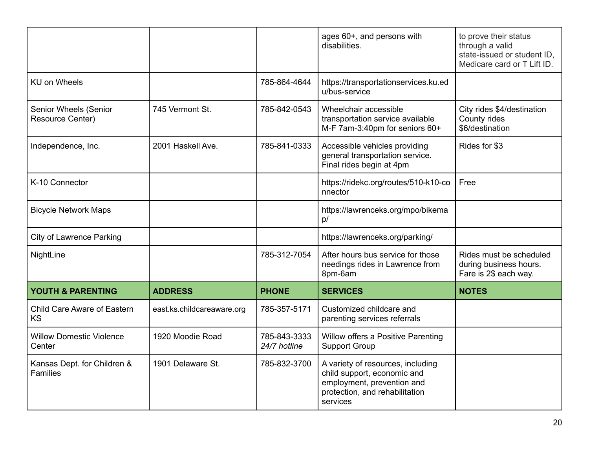|                                                |                            |                              | ages 60+, and persons with<br>disabilities.                                                                                                  | to prove their status<br>through a valid<br>state-issued or student ID,<br>Medicare card or T Lift ID. |
|------------------------------------------------|----------------------------|------------------------------|----------------------------------------------------------------------------------------------------------------------------------------------|--------------------------------------------------------------------------------------------------------|
| <b>KU on Wheels</b>                            |                            | 785-864-4644                 | https://transportationservices.ku.ed<br>u/bus-service                                                                                        |                                                                                                        |
| Senior Wheels (Senior<br>Resource Center)      | 745 Vermont St.            | 785-842-0543                 | Wheelchair accessible<br>transportation service available<br>M-F 7am-3:40pm for seniors 60+                                                  | City rides \$4/destination<br>County rides<br>\$6/destination                                          |
| Independence, Inc.                             | 2001 Haskell Ave.          | 785-841-0333                 | Accessible vehicles providing<br>general transportation service.<br>Final rides begin at 4pm                                                 | Rides for \$3                                                                                          |
| K-10 Connector                                 |                            |                              | https://ridekc.org/routes/510-k10-co<br>nnector                                                                                              | Free                                                                                                   |
| <b>Bicycle Network Maps</b>                    |                            |                              | https://lawrenceks.org/mpo/bikema<br>p/                                                                                                      |                                                                                                        |
| <b>City of Lawrence Parking</b>                |                            |                              | https://lawrenceks.org/parking/                                                                                                              |                                                                                                        |
| NightLine                                      |                            | 785-312-7054                 | After hours bus service for those<br>needings rides in Lawrence from<br>8pm-6am                                                              | Rides must be scheduled<br>during business hours.<br>Fare is 2\$ each way.                             |
| YOUTH & PARENTING                              | <b>ADDRESS</b>             | <b>PHONE</b>                 | <b>SERVICES</b>                                                                                                                              | <b>NOTES</b>                                                                                           |
| Child Care Aware of Eastern<br><b>KS</b>       | east.ks.childcareaware.org | 785-357-5171                 | Customized childcare and<br>parenting services referrals                                                                                     |                                                                                                        |
| <b>Willow Domestic Violence</b><br>Center      | 1920 Moodie Road           | 785-843-3333<br>24/7 hotline | Willow offers a Positive Parenting<br><b>Support Group</b>                                                                                   |                                                                                                        |
| Kansas Dept. for Children &<br><b>Families</b> | 1901 Delaware St.          | 785-832-3700                 | A variety of resources, including<br>child support, economic and<br>employment, prevention and<br>protection, and rehabilitation<br>services |                                                                                                        |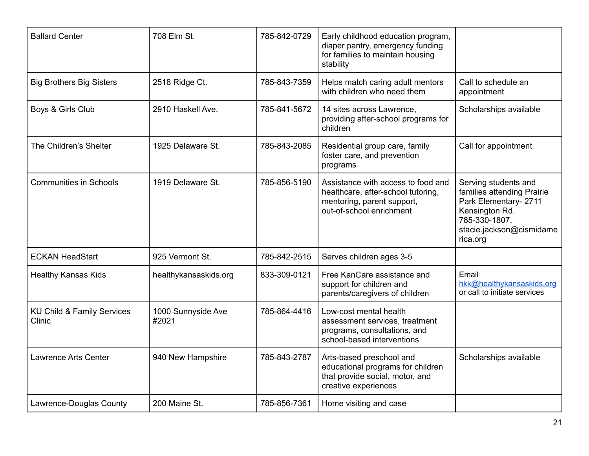| <b>Ballard Center</b>                | 708 Elm St.                 | 785-842-0729 | Early childhood education program,<br>diaper pantry, emergency funding<br>for families to maintain housing<br>stability            |                                                                                                                                                        |
|--------------------------------------|-----------------------------|--------------|------------------------------------------------------------------------------------------------------------------------------------|--------------------------------------------------------------------------------------------------------------------------------------------------------|
| <b>Big Brothers Big Sisters</b>      | 2518 Ridge Ct.              | 785-843-7359 | Helps match caring adult mentors<br>with children who need them                                                                    | Call to schedule an<br>appointment                                                                                                                     |
| Boys & Girls Club                    | 2910 Haskell Ave.           | 785-841-5672 | 14 sites across Lawrence,<br>providing after-school programs for<br>children                                                       | Scholarships available                                                                                                                                 |
| The Children's Shelter               | 1925 Delaware St.           | 785-843-2085 | Residential group care, family<br>foster care, and prevention<br>programs                                                          | Call for appointment                                                                                                                                   |
| <b>Communities in Schools</b>        | 1919 Delaware St.           | 785-856-5190 | Assistance with access to food and<br>healthcare, after-school tutoring,<br>mentoring, parent support,<br>out-of-school enrichment | Serving students and<br>families attending Prairie<br>Park Elementary- 2711<br>Kensington Rd.<br>785-330-1807,<br>stacie.jackson@cismidame<br>rica.org |
| <b>ECKAN HeadStart</b>               | 925 Vermont St.             | 785-842-2515 | Serves children ages 3-5                                                                                                           |                                                                                                                                                        |
| <b>Healthy Kansas Kids</b>           | healthykansaskids.org       | 833-309-0121 | Free KanCare assistance and<br>support for children and<br>parents/caregivers of children                                          | Email<br>hkk@healthykansaskids.org<br>or call to initiate services                                                                                     |
| KU Child & Family Services<br>Clinic | 1000 Sunnyside Ave<br>#2021 | 785-864-4416 | Low-cost mental health<br>assessment services, treatment<br>programs, consultations, and<br>school-based interventions             |                                                                                                                                                        |
| <b>Lawrence Arts Center</b>          | 940 New Hampshire           | 785-843-2787 | Arts-based preschool and<br>educational programs for children<br>that provide social, motor, and<br>creative experiences           | Scholarships available                                                                                                                                 |
| Lawrence-Douglas County              | 200 Maine St.               | 785-856-7361 | Home visiting and case                                                                                                             |                                                                                                                                                        |